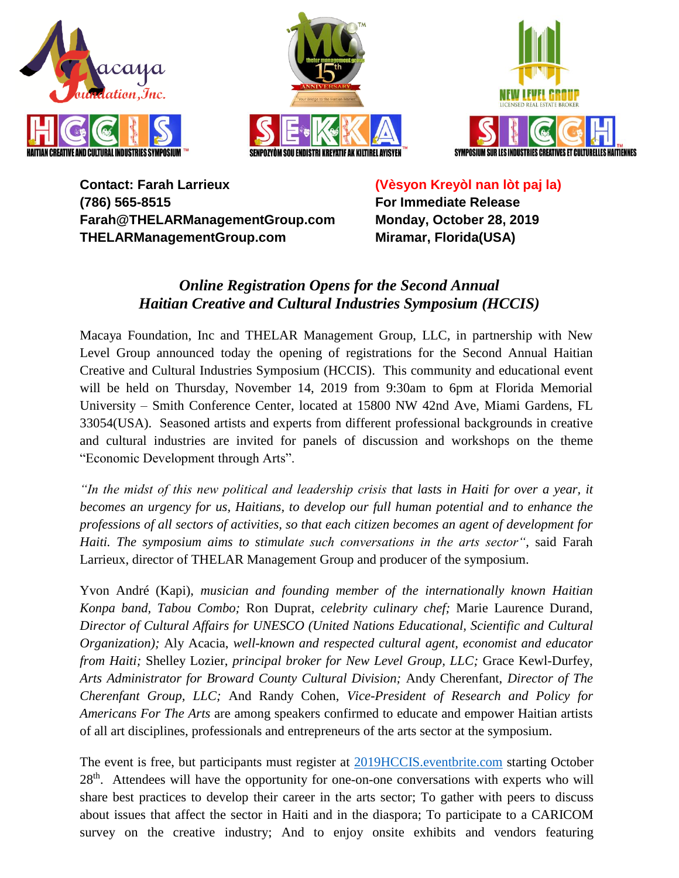





**Contact: Farah Larrieux (786) 565-8515 Farah@THELARManagementGroup.com THELARManagementGroup.com**

**(Vèsyon Kreyòl nan lòt paj la) For Immediate Release Monday, October 28, 2019 Miramar, Florida(USA)**

# *Online Registration Opens for the Second Annual Haitian Creative and Cultural Industries Symposium (HCCIS)*

Macaya Foundation, Inc and THELAR Management Group, LLC, in partnership with New Level Group announced today the opening of registrations for the Second Annual Haitian Creative and Cultural Industries Symposium (HCCIS). This community and educational event will be held on Thursday, November 14, 2019 from 9:30am to 6pm at Florida Memorial University – Smith Conference Center, located at 15800 NW 42nd Ave, Miami Gardens, FL 33054(USA). Seasoned artists and experts from different professional backgrounds in creative and cultural industries are invited for panels of discussion and workshops on the theme "Economic Development through Arts".

*"In the midst of this new political and leadership crisis that lasts in Haiti for over a year, it becomes an urgency for us, Haitians, to develop our full human potential and to enhance the professions of all sectors of activities, so that each citizen becomes an agent of development for Haiti. The symposium aims to stimulate such conversations in the arts sector"*, said Farah Larrieux, director of THELAR Management Group and producer of the symposium.

Yvon André (Kapi), *musician and founding member of the internationally known Haitian Konpa band, Tabou Combo;* Ron Duprat, *celebrity culinary chef;* Marie Laurence Durand, *Director of Cultural Affairs for UNESCO (United Nations Educational, Scientific and Cultural Organization);* Aly Acacia, *well-known and respected cultural agent, economist and educator from Haiti;* Shelley Lozier, *principal broker for New Level Group, LLC;* Grace Kewl-Durfey, *Arts Administrator for Broward County Cultural Division;* Andy Cherenfant, *Director of The Cherenfant Group, LLC;* And Randy Cohen, *Vice-President of Research and Policy for Americans For The Arts* are among speakers confirmed to educate and empower Haitian artists of all art disciplines, professionals and entrepreneurs of the arts sector at the symposium.

The event is free, but participants must register at [2019HCCIS.eventbrite.com](https://www.eventbrite.com/e/second-annual-haitian-creative-and-cultural-industries-symposiumhccis-tickets-72793811249) starting October 28<sup>th</sup>. Attendees will have the opportunity for one-on-one conversations with experts who will share best practices to develop their career in the arts sector; To gather with peers to discuss about issues that affect the sector in Haiti and in the diaspora; To participate to a CARICOM survey on the creative industry; And to enjoy onsite exhibits and vendors featuring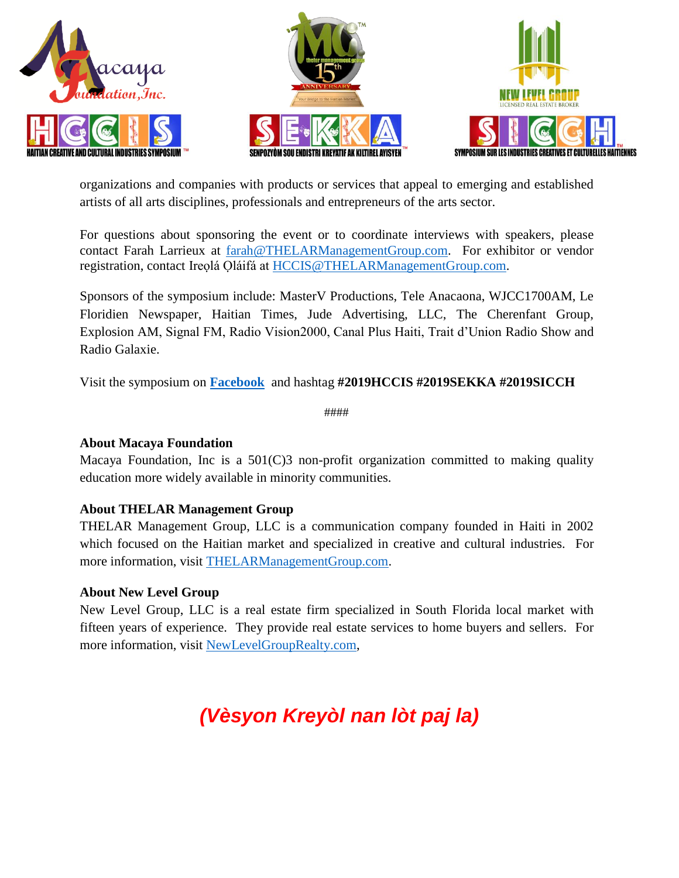





organizations and companies with products or services that appeal to emerging and established artists of all arts disciplines, professionals and entrepreneurs of the arts sector.

For questions about sponsoring the event or to coordinate interviews with speakers, please contact Farah Larrieux at [farah@THELARManagementGroup.com.](mailto:farah@THELARManagementGroup.com) For exhibitor or vendor registration, contact Ireọlá Ọláifá at [HCCIS@THELARManagementGroup.com.](HCCIS@THELARManagementGroup.com)

Sponsors of the symposium include: MasterV Productions, Tele Anacaona, WJCC1700AM, Le Floridien Newspaper, Haitian Times, Jude Advertising, LLC, The Cherenfant Group, Explosion AM, Signal FM, Radio Vision2000, Canal Plus Haiti, Trait d'Union Radio Show and Radio Galaxie.

Visit the symposium on **[Facebook](https://www.facebook.com/events/395899957776039/)** and hashtag **#2019HCCIS #2019SEKKA #2019SICCH**

####

#### **About Macaya Foundation**

Macaya Foundation, Inc is a 501(C)3 non-profit organization committed to making quality education more widely available in minority communities.

#### **About THELAR Management Group**

THELAR Management Group, LLC is a communication company founded in Haiti in 2002 which focused on the Haitian market and specialized in creative and cultural industries. For more information, visit [THELARManagementGroup.com.](THELARManagementGroup.com)

#### **About New Level Group**

New Level Group, LLC is a real estate firm specialized in South Florida local market with fifteen years of experience. They provide real estate services to home buyers and sellers. For more information, visit [NewLevelGroupRealty.com,](https://www.newlevelgrouprealty.com/)

# *(Vèsyon Kreyòl nan lòt paj la)*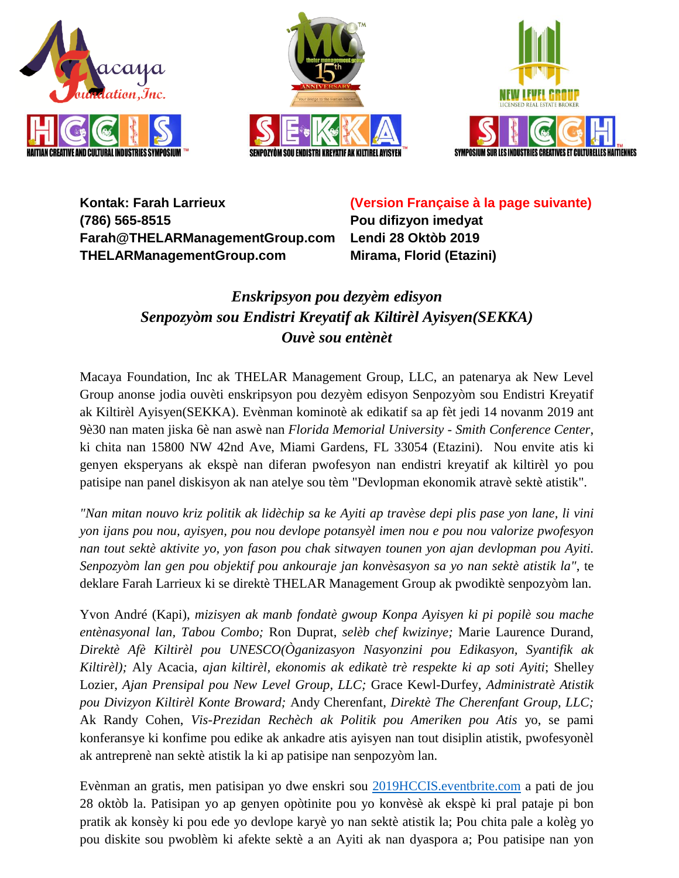





**Kontak: Farah Larrieux (786) 565-8515 Farah@THELARManagementGroup.com THELARManagementGroup.com**

**(Version Française à la page suivante)**

**Pou difizyon imedyat Lendi 28 Oktòb 2019 Mirama, Florid (Etazini)**

# *Enskripsyon pou dezyèm edisyon Senpozyòm sou Endistri Kreyatif ak Kiltirèl Ayisyen(SEKKA) Ouvè sou entènèt*

Macaya Foundation, Inc ak THELAR Management Group, LLC, an patenarya ak New Level Group anonse jodia ouvèti enskripsyon pou dezyèm edisyon Senpozyòm sou Endistri Kreyatif ak Kiltirèl Ayisyen(SEKKA). Evènman kominotè ak edikatif sa ap fèt jedi 14 novanm 2019 ant 9è30 nan maten jiska 6è nan aswè nan *Florida Memorial University - Smith Conference Center*, ki chita nan 15800 NW 42nd Ave, Miami Gardens, FL 33054 (Etazini). Nou envite atis ki genyen eksperyans ak ekspè nan diferan pwofesyon nan endistri kreyatif ak kiltirèl yo pou patisipe nan panel diskisyon ak nan atelye sou tèm "Devlopman ekonomik atravè sektè atistik".

*"Nan mitan nouvo kriz politik ak lidèchip sa ke Ayiti ap travèse depi plis pase yon lane, li vini yon ijans pou nou, ayisyen, pou nou devlope potansyèl imen nou e pou nou valorize pwofesyon nan tout sektè aktivite yo, yon fason pou chak sitwayen tounen yon ajan devlopman pou Ayiti. Senpozyòm lan gen pou objektif pou ankouraje jan konvèsasyon sa yo nan sektè atistik la"*, te deklare Farah Larrieux ki se direktè THELAR Management Group ak pwodiktè senpozyòm lan.

Yvon André (Kapi), *mizisyen ak manb fondatè gwoup Konpa Ayisyen ki pi popilè sou mache entènasyonal lan, Tabou Combo;* Ron Duprat, *selèb chef kwizinye;* Marie Laurence Durand, *Direktè Afè Kiltirèl pou UNESCO(Òganizasyon Nasyonzini pou Edikasyon, Syantifik ak Kiltirèl);* Aly Acacia, *ajan kiltirèl, ekonomis ak edikatè trè respekte ki ap soti Ayiti*; Shelley Lozier, *Ajan Prensipal pou New Level Group, LLC;* Grace Kewl-Durfey, *Administratè Atistik pou Divizyon Kiltirèl Konte Broward;* Andy Cherenfant, *Direktè The Cherenfant Group, LLC;* Ak Randy Cohen, *Vis-Prezidan Rechèch ak Politik pou Ameriken pou Atis* yo, se pami konferansye ki konfime pou edike ak ankadre atis ayisyen nan tout disiplin atistik, pwofesyonèl ak antreprenè nan sektè atistik la ki ap patisipe nan senpozyòm lan.

Evènman an gratis, men patisipan yo dwe enskri sou <2019HCCIS.eventbrite.com> a pati de jou 28 oktòb la. Patisipan yo ap genyen opòtinite pou yo konvèsè ak ekspè ki pral pataje pi bon pratik ak konsèy ki pou ede yo devlope karyè yo nan sektè atistik la; Pou chita pale a kolèg yo pou diskite sou pwoblèm ki afekte sektè a an Ayiti ak nan dyaspora a; Pou patisipe nan yon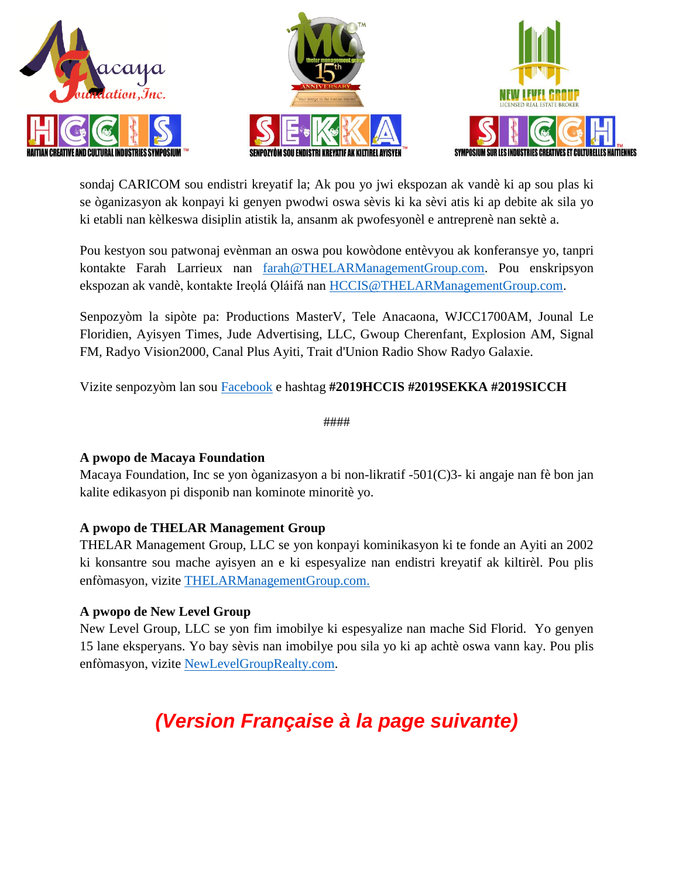





sondaj CARICOM sou endistri kreyatif la; Ak pou yo jwi ekspozan ak vandè ki ap sou plas ki se òganizasyon ak konpayi ki genyen pwodwi oswa sèvis ki ka sèvi atis ki ap debite ak sila yo ki etabli nan kèlkeswa disiplin atistik la, ansanm ak pwofesyonèl e antreprenè nan sektè a.

Pou kestyon sou patwonaj evènman an oswa pou kowòdone entèvyou ak konferansye yo, tanpri kontakte Farah Larrieux nan [farah@THELARManagementGroup.com.](farah@THELARManagementGroup.com) Pou enskripsyon ekspozan ak vandè, kontakte Ireolá Oláifá nan [HCCIS@THELARManagementGroup.com.](HCCIS@THELARManagementGroup.com)

Senpozyòm la sipòte pa: Productions MasterV, Tele Anacaona, WJCC1700AM, Jounal Le Floridien, Ayisyen Times, Jude Advertising, LLC, Gwoup Cherenfant, Explosion AM, Signal FM, Radyo Vision2000, Canal Plus Ayiti, Trait d'Union Radio Show Radyo Galaxie.

Vizite senpozyòm lan sou [Facebook](https://www.facebook.com/events/395899957776039/) e hashtag **#2019HCCIS #2019SEKKA #2019SICCH**

####

## **A pwopo de Macaya Foundation**

Macaya Foundation, Inc se yon òganizasyon a bi non-likratif -501(C)3- ki angaje nan fè bon jan kalite edikasyon pi disponib nan kominote minoritè yo.

## **A pwopo de THELAR Management Group**

THELAR Management Group, LLC se yon konpayi kominikasyon ki te fonde an Ayiti an 2002 ki konsantre sou mache ayisyen an e ki espesyalize nan endistri kreyatif ak kiltirèl. Pou plis enfòmasyon, vizite<THELARManagementGroup.com.>

## **A pwopo de New Level Group**

New Level Group, LLC se yon fim imobilye ki espesyalize nan mache Sid Florid. Yo genyen 15 lane eksperyans. Yo bay sèvis nan imobilye pou sila yo ki ap achtè oswa vann kay. Pou plis enfòmasyon, vizite [NewLevelGroupRealty.com.](NewLevelGroupRealty.com)

# *(Version Française à la page suivante)*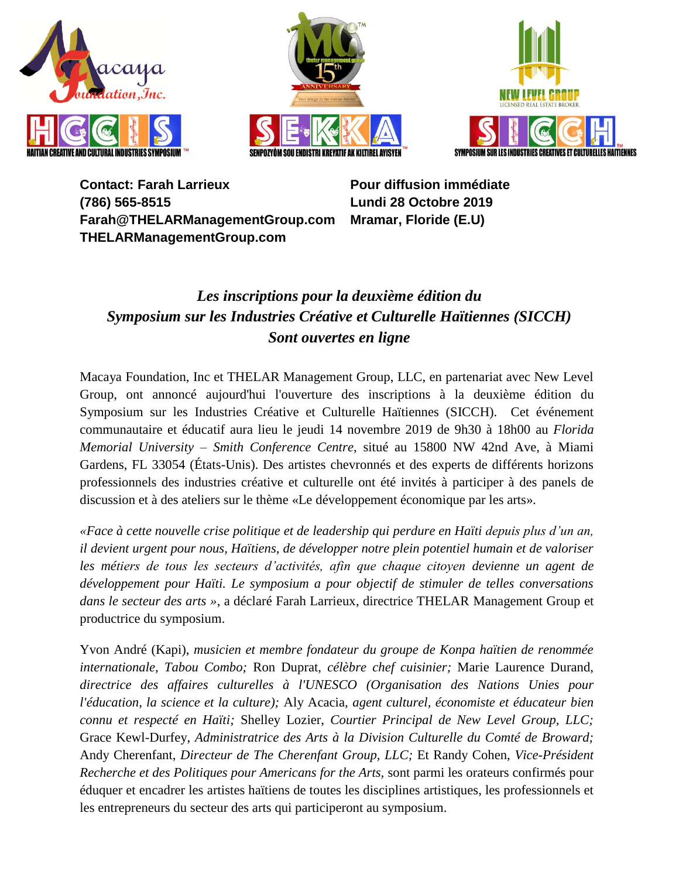





**Contact: Farah Larrieux (786) 565-8515 Farah@THELARManagementGroup.com THELARManagementGroup.com**

**Pour diffusion immédiate Lundi 28 Octobre 2019 Mramar, Floride (E.U)**

# *Les inscriptions pour la deuxième édition du Symposium sur les Industries Créative et Culturelle Haïtiennes (SICCH) Sont ouvertes en ligne*

Macaya Foundation, Inc et THELAR Management Group, LLC, en partenariat avec New Level Group, ont annoncé aujourd'hui l'ouverture des inscriptions à la deuxième édition du Symposium sur les Industries Créative et Culturelle Haïtiennes (SICCH). Cet événement communautaire et éducatif aura lieu le jeudi 14 novembre 2019 de 9h30 à 18h00 au *Florida Memorial University – Smith Conference Centre*, situé au 15800 NW 42nd Ave, à Miami Gardens, FL 33054 (États-Unis). Des artistes chevronnés et des experts de différents horizons professionnels des industries créative et culturelle ont été invités à participer à des panels de discussion et à des ateliers sur le thème «Le développement économique par les arts».

*«Face à cette nouvelle crise politique et de leadership qui perdure en Haïti depuis plus d'un an, il devient urgent pour nous, Haïtiens, de développer notre plein potentiel humain et de valoriser les métiers de tous les secteurs d'activités, afin que chaque citoyen devienne un agent de développement pour Haïti. Le symposium a pour objectif de stimuler de telles conversations dans le secteur des arts »*, a déclaré Farah Larrieux, directrice THELAR Management Group et productrice du symposium.

Yvon André (Kapi), *musicien et membre fondateur du groupe de Konpa haïtien de renommée internationale, Tabou Combo;* Ron Duprat, *célèbre chef cuisinier;* Marie Laurence Durand, *directrice des affaires culturelles à l'UNESCO (Organisation des Nations Unies pour l'éducation, la science et la culture);* Aly Acacia, *agent culturel, économiste et éducateur bien connu et respecté en Haïti;* Shelley Lozier, *Courtier Principal de New Level Group, LLC;* Grace Kewl-Durfey, *Administratrice des Arts à la Division Culturelle du Comté de Broward;* Andy Cherenfant, *Directeur de The Cherenfant Group, LLC;* Et Randy Cohen, *Vice-Président Recherche et des Politiques pour Americans for the Arts,* sont parmi les orateurs confirmés pour éduquer et encadrer les artistes haïtiens de toutes les disciplines artistiques, les professionnels et les entrepreneurs du secteur des arts qui participeront au symposium.